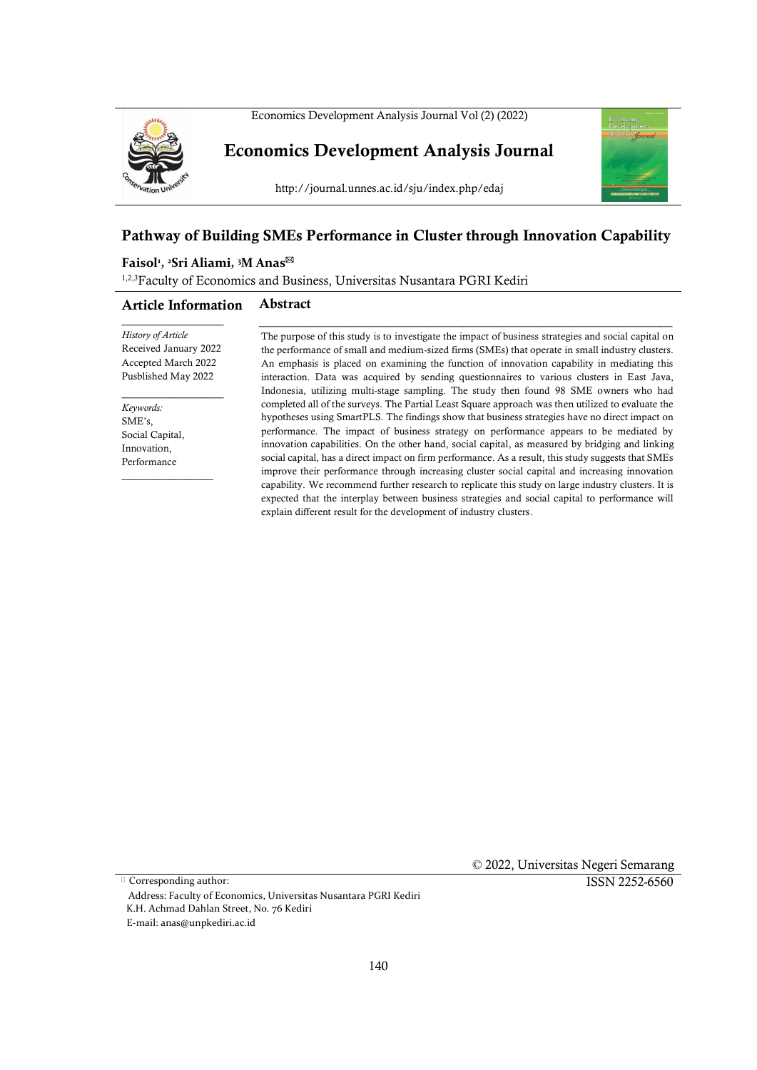



**Economics Development Analysis Journal**

http://journal.unnes.ac.id/sju/index.php/edaj



# **Pathway of Building SMEs Performance in Cluster through Innovation Capability**

#### **Faisol<sup>1</sup> , <sup>2</sup>Sri Aliami, <sup>3</sup>M Anas**

<sup>1,2,3</sup>Faculty of Economics and Business, Universitas Nusantara PGRI Kediri

#### **Article Information Abstract**

*History of Article* Received January 2022 Accepted March 2022 Pusblished May 2022

\_\_\_\_\_\_\_\_\_\_\_\_\_\_\_\_

 $\overline{\phantom{a}}$  , where  $\overline{\phantom{a}}$ 

*Keywords:* SME's, Social Capital, Innovation, Performance

 $\overline{\phantom{a}}$  , where  $\overline{\phantom{a}}$ 

The purpose of this study is to investigate the impact of business strategies and social capital on the performance of small and medium-sized firms (SMEs) that operate in small industry clusters. An emphasis is placed on examining the function of innovation capability in mediating this interaction. Data was acquired by sending questionnaires to various clusters in East Java, Indonesia, utilizing multi-stage sampling. The study then found 98 SME owners who had completed all of the surveys. The Partial Least Square approach was then utilized to evaluate the hypotheses using SmartPLS. The findings show that business strategies have no direct impact on performance. The impact of business strategy on performance appears to be mediated by innovation capabilities. On the other hand, social capital, as measured by bridging and linking social capital, has a direct impact on firm performance. As a result, this study suggests that SMEs improve their performance through increasing cluster social capital and increasing innovation capability. We recommend further research to replicate this study on large industry clusters. It is expected that the interplay between business strategies and social capital to performance will explain different result for the development of industry clusters.

\_\_\_\_\_\_\_\_\_\_\_\_\_\_\_\_\_\_\_\_\_\_\_\_\_\_\_\_\_\_\_\_\_\_\_\_\_\_\_\_\_\_\_\_\_\_\_\_\_\_\_\_\_\_\_\_\_\_\_\_\_\_\_\_\_

 © 2022, Universitas Negeri Semarang ISSN 2252-6560

Corresponding author: Address: Faculty of Economics, Universitas Nusantara PGRI Kediri K.H. Achmad Dahlan Street, No. 76 Kediri E-mail: anas@unpkediri.ac.id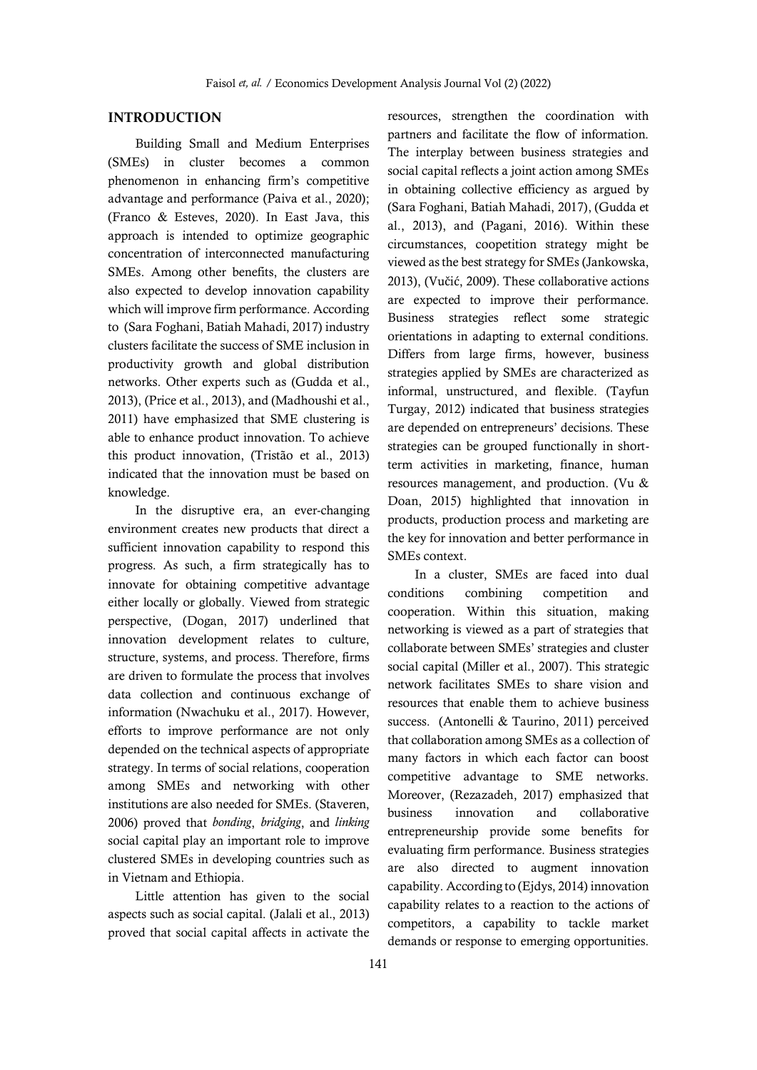# **INTRODUCTION**

Building Small and Medium Enterprises (SMEs) in cluster becomes a common phenomenon in enhancing firm's competitive advantage and performance (Paiva et al., 2020); (Franco & Esteves, 2020). In East Java, this approach is intended to optimize geographic concentration of interconnected manufacturing SMEs. Among other benefits, the clusters are also expected to develop innovation capability which will improve firm performance. According to (Sara Foghani, Batiah Mahadi, 2017) industry clusters facilitate the success of SME inclusion in productivity growth and global distribution networks. Other experts such as (Gudda et al., 2013), (Price et al., 2013), and (Madhoushi et al., 2011) have emphasized that SME clustering is able to enhance product innovation. To achieve this product innovation, (Tristão et al., 2013) indicated that the innovation must be based on knowledge.

In the disruptive era, an ever-changing environment creates new products that direct a sufficient innovation capability to respond this progress. As such, a firm strategically has to innovate for obtaining competitive advantage either locally or globally. Viewed from strategic perspective, (Dogan, 2017) underlined that innovation development relates to culture, structure, systems, and process. Therefore, firms are driven to formulate the process that involves data collection and continuous exchange of information (Nwachuku et al., 2017). However, efforts to improve performance are not only depended on the technical aspects of appropriate strategy. In terms of social relations, cooperation among SMEs and networking with other institutions are also needed for SMEs. (Staveren, 2006) proved that *bonding*, *bridging*, and *linking* social capital play an important role to improve clustered SMEs in developing countries such as in Vietnam and Ethiopia.

Little attention has given to the social aspects such as social capital. (Jalali et al., 2013) proved that social capital affects in activate the

resources, strengthen the coordination with partners and facilitate the flow of information. The interplay between business strategies and social capital reflects a joint action among SMEs in obtaining collective efficiency as argued by (Sara Foghani, Batiah Mahadi, 2017), (Gudda et al., 2013), and (Pagani, 2016). Within these circumstances, coopetition strategy might be viewed as the best strategy for SMEs (Jankowska, 2013), (Vučić, 2009). These collaborative actions are expected to improve their performance. Business strategies reflect some strategic orientations in adapting to external conditions. Differs from large firms, however, business strategies applied by SMEs are characterized as informal, unstructured, and flexible. (Tayfun Turgay, 2012) indicated that business strategies are depended on entrepreneurs' decisions. These strategies can be grouped functionally in shortterm activities in marketing, finance, human resources management, and production. (Vu & Doan, 2015) highlighted that innovation in products, production process and marketing are the key for innovation and better performance in SMEs context.

In a cluster, SMEs are faced into dual conditions combining competition and cooperation. Within this situation, making networking is viewed as a part of strategies that collaborate between SMEs' strategies and cluster social capital (Miller et al., 2007). This strategic network facilitates SMEs to share vision and resources that enable them to achieve business success. (Antonelli & Taurino, 2011) perceived that collaboration among SMEs as a collection of many factors in which each factor can boost competitive advantage to SME networks. Moreover, (Rezazadeh, 2017) emphasized that business innovation and collaborative entrepreneurship provide some benefits for evaluating firm performance. Business strategies are also directed to augment innovation capability. According to (Ejdys, 2014) innovation capability relates to a reaction to the actions of competitors, a capability to tackle market demands or response to emerging opportunities.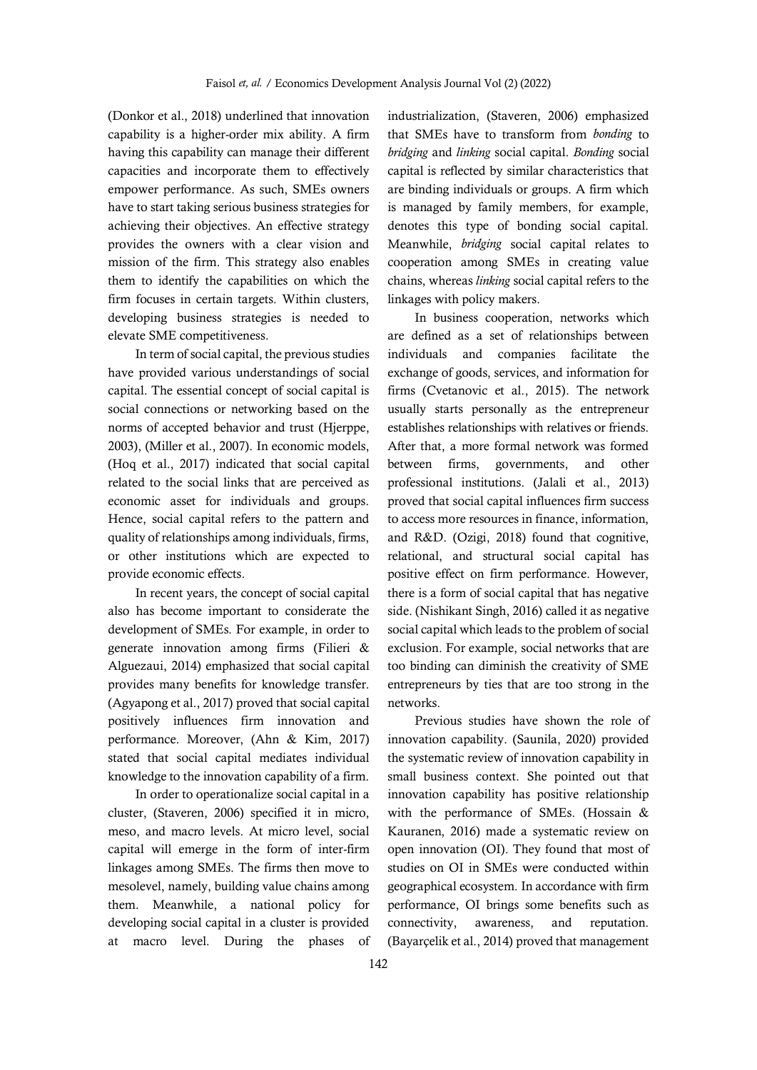(Donkor et al., 2018) underlined that innovation capability is a higher-order mix ability. A firm having this capability can manage their different capacities and incorporate them to effectively empower performance. As such, SMEs owners have to start taking serious business strategies for achieving their objectives. An effective strategy provides the owners with a clear vision and mission of the firm. This strategy also enables them to identify the capabilities on which the firm focuses in certain targets. Within clusters, developing business strategies is needed to elevate SME competitiveness.

In term of social capital, the previous studies have provided various understandings of social capital. The essential concept of social capital is social connections or networking based on the norms of accepted behavior and trust (Hjerppe, 2003), (Miller et al., 2007). In economic models, (Hoq et al., 2017) indicated that social capital related to the social links that are perceived as economic asset for individuals and groups. Hence, social capital refers to the pattern and quality of relationships among individuals, firms, or other institutions which are expected to provide economic effects.

In recent years, the concept of social capital also has become important to considerate the development of SMEs. For example, in order to generate innovation among firms (Filieri & Alguezaui, 2014) emphasized that social capital provides many benefits for knowledge transfer. (Agyapong et al., 2017) proved that social capital positively influences firm innovation and performance. Moreover, (Ahn & Kim, 2017) stated that social capital mediates individual knowledge to the innovation capability of a firm.

In order to operationalize social capital in a cluster, (Staveren, 2006) specified it in micro, meso, and macro levels. At micro level, social capital will emerge in the form of inter-firm linkages among SMEs. The firms then move to mesolevel, namely, building value chains among them. Meanwhile, a national policy for developing social capital in a cluster is provided at macro level. During the phases of

industrialization, (Staveren, 2006) emphasized that SMEs have to transform from *bonding* to *bridging* and *linking* social capital. *Bonding* social capital is reflected by similar characteristics that are binding individuals or groups. A firm which is managed by family members, for example, denotes this type of bonding social capital. Meanwhile, *bridging* social capital relates to cooperation among SMEs in creating value chains, whereas *linking* social capital refers to the linkages with policy makers.

In business cooperation, networks which are defined as a set of relationships between individuals and companies facilitate the exchange of goods, services, and information for firms (Cvetanovic et al., 2015). The network usually starts personally as the entrepreneur establishes relationships with relatives or friends. After that, a more formal network was formed between firms, governments, and other professional institutions. (Jalali et al., 2013) proved that social capital influences firm success to access more resources in finance, information, and R&D. (Ozigi, 2018) found that cognitive, relational, and structural social capital has positive effect on firm performance. However, there is a form of social capital that has negative side. (Nishikant Singh, 2016) called it as negative social capital which leads to the problem of social exclusion. For example, social networks that are too binding can diminish the creativity of SME entrepreneurs by ties that are too strong in the networks.

Previous studies have shown the role of innovation capability. (Saunila, 2020) provided the systematic review of innovation capability in small business context. She pointed out that innovation capability has positive relationship with the performance of SMEs. (Hossain & Kauranen, 2016) made a systematic review on open innovation (OI). They found that most of studies on OI in SMEs were conducted within geographical ecosystem. In accordance with firm performance, OI brings some benefits such as connectivity, awareness, and reputation. (Bayarçelik et al., 2014) proved that management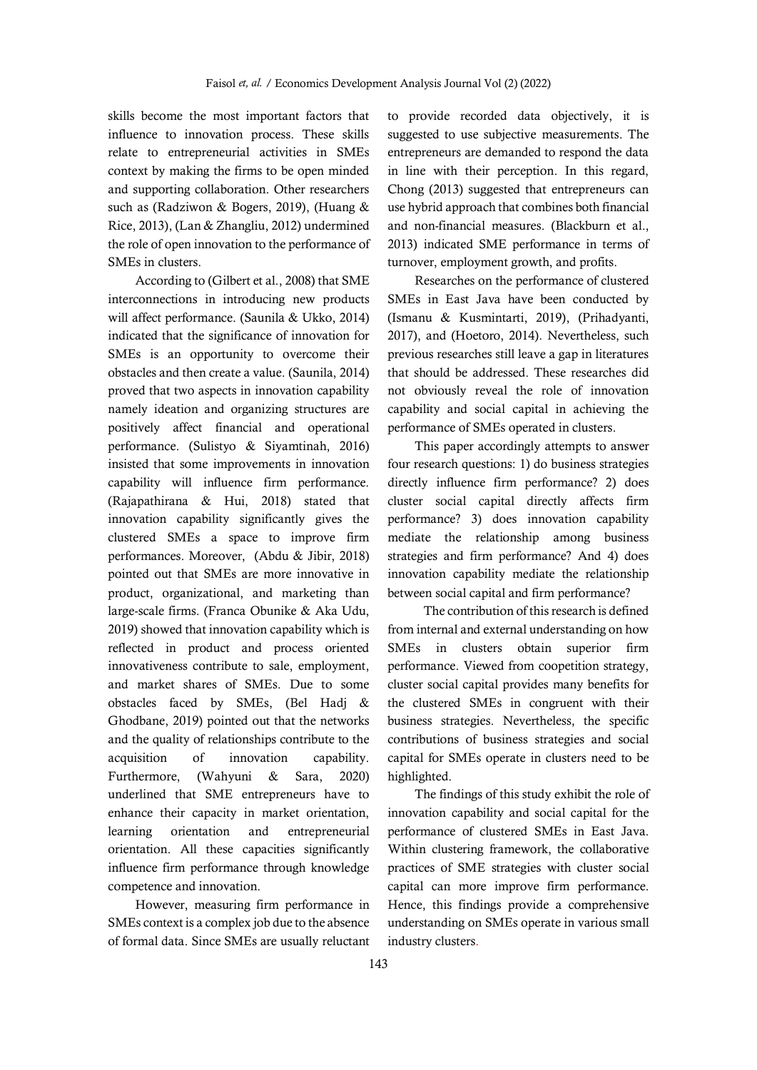skills become the most important factors that influence to innovation process. These skills relate to entrepreneurial activities in SMEs context by making the firms to be open minded and supporting collaboration. Other researchers such as (Radziwon & Bogers, 2019), (Huang & Rice, 2013), (Lan & Zhangliu, 2012) undermined the role of open innovation to the performance of SMEs in clusters.

According to (Gilbert et al., 2008) that SME interconnections in introducing new products will affect performance. (Saunila & Ukko, 2014) indicated that the significance of innovation for SMEs is an opportunity to overcome their obstacles and then create a value. (Saunila, 2014) proved that two aspects in innovation capability namely ideation and organizing structures are positively affect financial and operational performance. (Sulistyo & Siyamtinah, 2016) insisted that some improvements in innovation capability will influence firm performance. (Rajapathirana & Hui, 2018) stated that innovation capability significantly gives the clustered SMEs a space to improve firm performances. Moreover, (Abdu & Jibir, 2018) pointed out that SMEs are more innovative in product, organizational, and marketing than large-scale firms. (Franca Obunike & Aka Udu, 2019) showed that innovation capability which is reflected in product and process oriented innovativeness contribute to sale, employment, and market shares of SMEs. Due to some obstacles faced by SMEs, (Bel Hadj & Ghodbane, 2019) pointed out that the networks and the quality of relationships contribute to the acquisition of innovation capability. Furthermore, (Wahyuni & Sara, 2020) underlined that SME entrepreneurs have to enhance their capacity in market orientation, learning orientation and entrepreneurial orientation. All these capacities significantly influence firm performance through knowledge competence and innovation.

However, measuring firm performance in SMEs context is a complex job due to the absence of formal data. Since SMEs are usually reluctant to provide recorded data objectively, it is suggested to use subjective measurements. The entrepreneurs are demanded to respond the data in line with their perception. In this regard, Chong (2013) suggested that entrepreneurs can use hybrid approach that combines both financial and non-financial measures. (Blackburn et al., 2013) indicated SME performance in terms of turnover, employment growth, and profits.

Researches on the performance of clustered SMEs in East Java have been conducted by (Ismanu & Kusmintarti, 2019), (Prihadyanti, 2017), and (Hoetoro, 2014). Nevertheless, such previous researches still leave a gap in literatures that should be addressed. These researches did not obviously reveal the role of innovation capability and social capital in achieving the performance of SMEs operated in clusters.

This paper accordingly attempts to answer four research questions: 1) do business strategies directly influence firm performance? 2) does cluster social capital directly affects firm performance? 3) does innovation capability mediate the relationship among business strategies and firm performance? And 4) does innovation capability mediate the relationship between social capital and firm performance?

The contribution of this research is defined from internal and external understanding on how SMEs in clusters obtain superior firm performance. Viewed from coopetition strategy, cluster social capital provides many benefits for the clustered SMEs in congruent with their business strategies. Nevertheless, the specific contributions of business strategies and social capital for SMEs operate in clusters need to be highlighted.

The findings of this study exhibit the role of innovation capability and social capital for the performance of clustered SMEs in East Java. Within clustering framework, the collaborative practices of SME strategies with cluster social capital can more improve firm performance. Hence, this findings provide a comprehensive understanding on SMEs operate in various small industry clusters.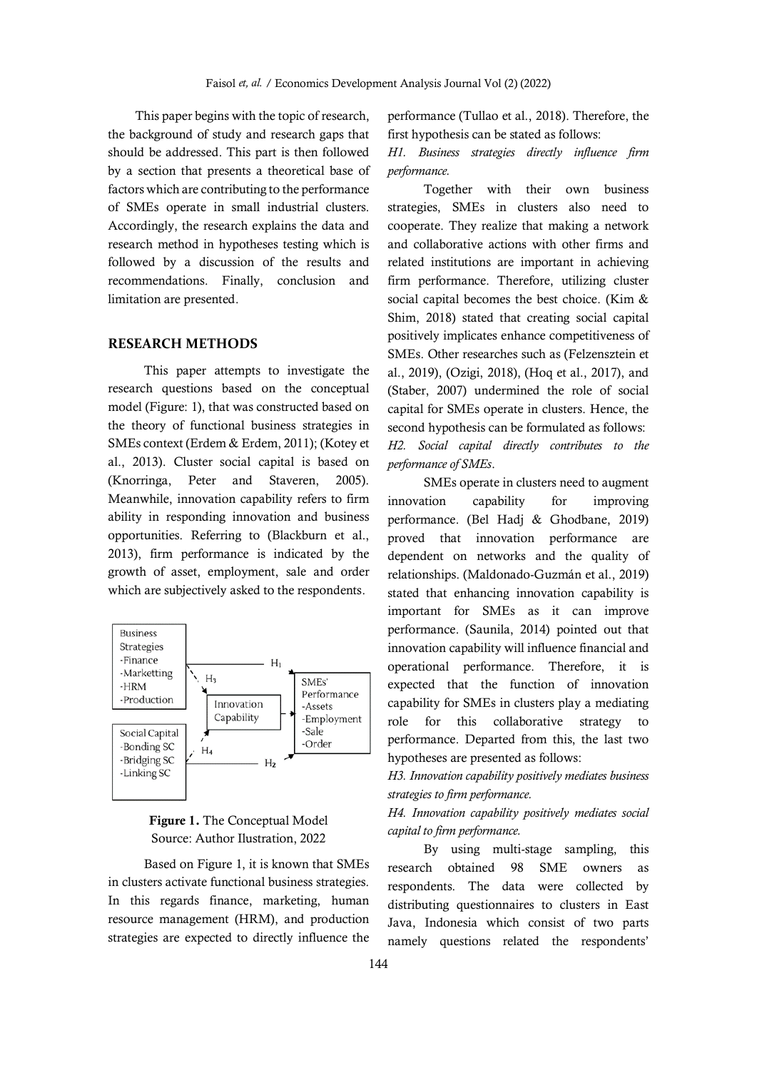This paper begins with the topic of research, the background of study and research gaps that should be addressed. This part is then followed by a section that presents a theoretical base of factors which are contributing to the performance of SMEs operate in small industrial clusters. Accordingly, the research explains the data and research method in hypotheses testing which is followed by a discussion of the results and recommendations. Finally, conclusion and limitation are presented.

#### **RESEARCH METHODS**

This paper attempts to investigate the research questions based on the conceptual model (Figure: 1), that was constructed based on the theory of functional business strategies in SMEs context (Erdem & Erdem, 2011); (Kotey et al., 2013). Cluster social capital is based on (Knorringa, Peter and Staveren, 2005). Meanwhile, innovation capability refers to firm ability in responding innovation and business opportunities. Referring to (Blackburn et al., 2013), firm performance is indicated by the growth of asset, employment, sale and order which are subjectively asked to the respondents.





Based on Figure 1, it is known that SMEs in clusters activate functional business strategies. In this regards finance, marketing, human resource management (HRM), and production strategies are expected to directly influence the

performance (Tullao et al., 2018). Therefore, the first hypothesis can be stated as follows:

*H1. Business strategies directly influence firm performance.*

Together with their own business strategies, SMEs in clusters also need to cooperate. They realize that making a network and collaborative actions with other firms and related institutions are important in achieving firm performance. Therefore, utilizing cluster social capital becomes the best choice. (Kim & Shim, 2018) stated that creating social capital positively implicates enhance competitiveness of SMEs. Other researches such as (Felzensztein et al., 2019), (Ozigi, 2018), (Hoq et al., 2017), and (Staber, 2007) undermined the role of social capital for SMEs operate in clusters. Hence, the second hypothesis can be formulated as follows: *H2. Social capital directly contributes to the performance of SMEs*.

SMEs operate in clusters need to augment innovation capability for improving performance. (Bel Hadj & Ghodbane, 2019) proved that innovation performance are dependent on networks and the quality of relationships. (Maldonado-Guzmán et al., 2019) stated that enhancing innovation capability is important for SMEs as it can improve performance. (Saunila, 2014) pointed out that innovation capability will influence financial and operational performance. Therefore, it is expected that the function of innovation capability for SMEs in clusters play a mediating role for this collaborative strategy to performance. Departed from this, the last two hypotheses are presented as follows:

*H3. Innovation capability positively mediates business strategies to firm performance.* 

*H4. Innovation capability positively mediates social capital to firm performance.*

By using multi-stage sampling, this research obtained 98 SME owners as respondents. The data were collected by distributing questionnaires to clusters in East Java, Indonesia which consist of two parts namely questions related the respondents'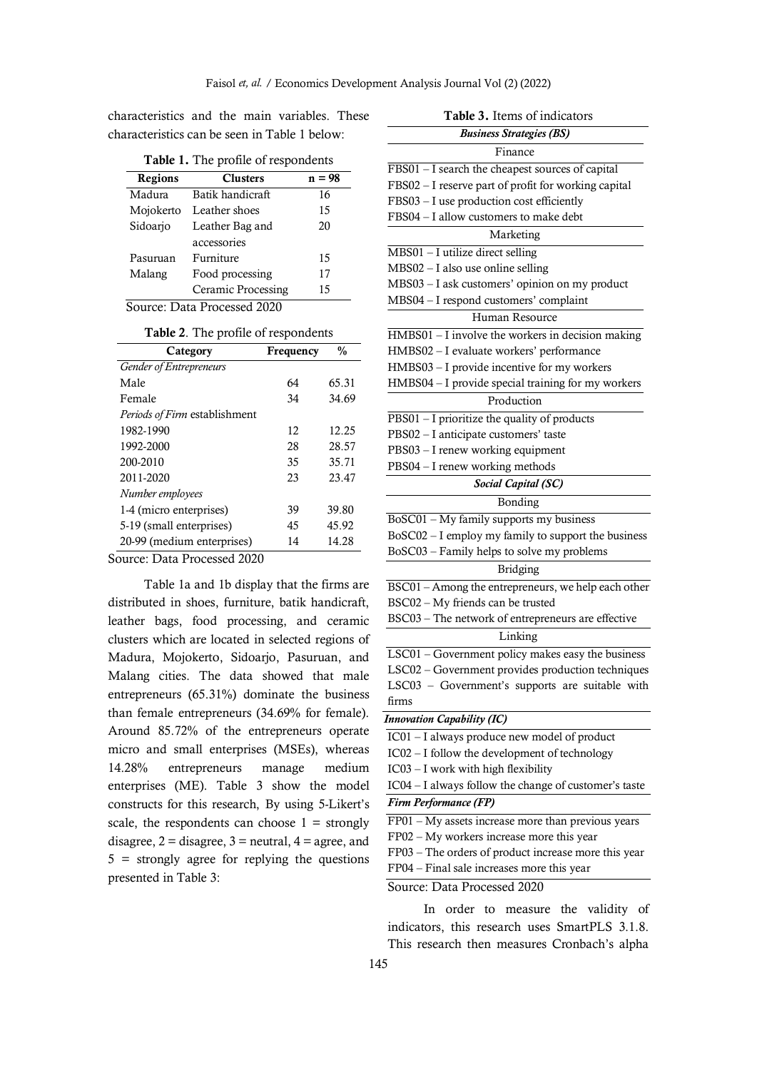characteristics and the main variables. These characteristics can be seen in Table 1 below:

**Table 1.** The profile of respondents

| <b>Regions</b> | <b>Clusters</b>             | $n = 98$ |
|----------------|-----------------------------|----------|
| Madura         | Batik handicraft            | 16       |
| Mojokerto      | Leather shoes               | 15       |
| Sidoario       | Leather Bag and             | 20       |
|                | accessories                 |          |
| Pasuruan       | Furniture                   | 15       |
| Malang         | Food processing             | 17       |
|                | Ceramic Processing          | 15       |
|                | Source: Data Processed 2020 |          |

|  |  |  |  | Table 2. The profile of respondents |
|--|--|--|--|-------------------------------------|
|--|--|--|--|-------------------------------------|

| Category                             | Frequency | $\frac{0}{0}$ |
|--------------------------------------|-----------|---------------|
| <b>Gender of Entrepreneurs</b>       |           |               |
| Male                                 | 64        | 65.31         |
| Female                               | 34        | 34.69         |
| <i>Periods of Firm establishment</i> |           |               |
| 1982-1990                            | 12        | 12.25         |
| 1992-2000                            | 28        | 28.57         |
| 200-2010                             | 35        | 35.71         |
| 2011-2020                            | 23        | 23.47         |
| Number employees                     |           |               |
| 1-4 (micro enterprises)              | 39        | 39.80         |
| 5-19 (small enterprises)             | 45        | 45.92         |
| 20-99 (medium enterprises)           | 14        | 14.28         |
|                                      |           |               |

Source: Data Processed 2020

Table 1a and 1b display that the firms are distributed in shoes, furniture, batik handicraft, leather bags, food processing, and ceramic clusters which are located in selected regions of Madura, Mojokerto, Sidoarjo, Pasuruan, and Malang cities. The data showed that male entrepreneurs (65.31%) dominate the business than female entrepreneurs (34.69% for female). Around 85.72% of the entrepreneurs operate micro and small enterprises (MSEs), whereas 14.28% entrepreneurs manage medium enterprises (ME). Table 3 show the model constructs for this research, By using 5-Likert's scale, the respondents can choose  $1 =$  strongly disagree,  $2 =$  disagree,  $3 =$  neutral,  $4 =$  agree, and 5 = strongly agree for replying the questions presented in Table 3:

| Table 3. Items of indicators                                         |  |  |  |
|----------------------------------------------------------------------|--|--|--|
| <b>Business Strategies (BS)</b>                                      |  |  |  |
| Finance                                                              |  |  |  |
| FBS01 - I search the cheapest sources of capital                     |  |  |  |
| FBS02 - I reserve part of profit for working capital                 |  |  |  |
| FBS03 - I use production cost efficiently                            |  |  |  |
| FBS04 - I allow customers to make debt                               |  |  |  |
| Marketing                                                            |  |  |  |
| $MBS01 - I$ utilize direct selling                                   |  |  |  |
| MBS02 - I also use online selling                                    |  |  |  |
| MBS03 - I ask customers' opinion on my product                       |  |  |  |
| MBS04 - I respond customers' complaint                               |  |  |  |
| Human Resource                                                       |  |  |  |
| HMBS01 - I involve the workers in decision making                    |  |  |  |
| HMBS02 - I evaluate workers' performance                             |  |  |  |
| HMBS03 - I provide incentive for my workers                          |  |  |  |
| HMBS04 - I provide special training for my workers                   |  |  |  |
| Production                                                           |  |  |  |
| PBS01 - I prioritize the quality of products                         |  |  |  |
| PBS02 - I anticipate customers' taste                                |  |  |  |
| PBS03 - I renew working equipment<br>PBS04 - I renew working methods |  |  |  |
| Social Capital (SC)                                                  |  |  |  |
| Bonding                                                              |  |  |  |
| BoSC01 - My family supports my business                              |  |  |  |
| BoSC02 - I employ my family to support the business                  |  |  |  |
| BoSC03 - Family helps to solve my problems                           |  |  |  |
| <b>Bridging</b>                                                      |  |  |  |
| BSC01 - Among the entrepreneurs, we help each other                  |  |  |  |
| BSC02 - My friends can be trusted                                    |  |  |  |
| BSC03 - The network of entrepreneurs are effective                   |  |  |  |
| Linking                                                              |  |  |  |
| LSC01 - Government policy makes easy the business                    |  |  |  |
| LSC02 - Government provides production techniques                    |  |  |  |
| LSC03 - Government's supports are suitable with                      |  |  |  |
| firms                                                                |  |  |  |
| <b>Innovation Capability (IC)</b>                                    |  |  |  |
| IC01 - I always produce new model of product                         |  |  |  |
| IC02 - I follow the development of technology                        |  |  |  |
| IC03 - I work with high flexibility                                  |  |  |  |
| IC04 - I always follow the change of customer's taste                |  |  |  |
| <b>Firm Performance (FP)</b>                                         |  |  |  |
| $FP01 - My$ assets increase more than previous years                 |  |  |  |
| FP02 - My workers increase more this year                            |  |  |  |
| FP03 - The orders of product increase more this year                 |  |  |  |
| FP04 - Final sale increases more this year                           |  |  |  |
| Source: Data Processed 2020                                          |  |  |  |
|                                                                      |  |  |  |

In order to measure the validity of indicators, this research uses SmartPLS 3.1.8. This research then measures Cronbach's alpha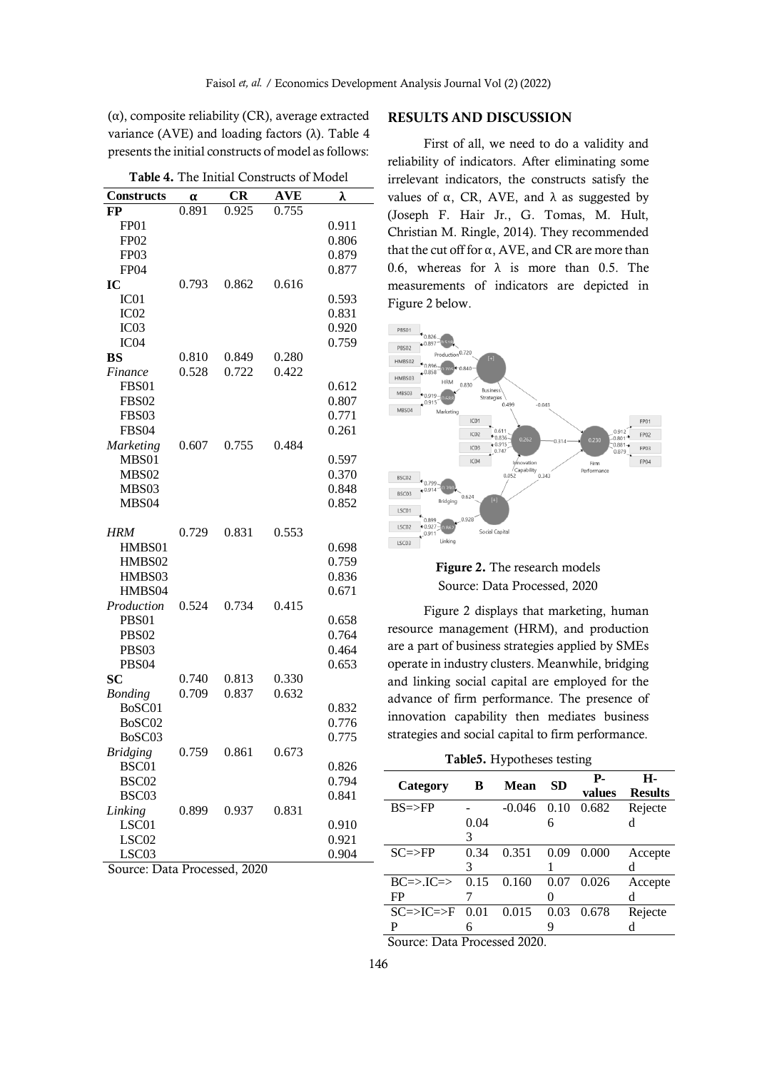$(\alpha)$ , composite reliability (CR), average extracted variance (AVE) and loading factors (λ). Table 4 presents the initial constructs of model as follows:

**Table 4.** The Initial Constructs of Model

| <b>Constructs</b> | α     | <b>CR</b> | <b>AVE</b> | λ     |
|-------------------|-------|-----------|------------|-------|
| FP                | 0.891 | 0.925     | 0.755      |       |
| FP01              |       |           |            | 0.911 |
| FP <sub>02</sub>  |       |           |            | 0.806 |
| FP <sub>03</sub>  |       |           |            | 0.879 |
| FP <sub>04</sub>  |       |           |            | 0.877 |
| IC                | 0.793 | 0.862     | 0.616      |       |
| IC01              |       |           |            | 0.593 |
| IC <sub>02</sub>  |       |           |            | 0.831 |
| IC <sub>03</sub>  |       |           |            | 0.920 |
| IC <sub>04</sub>  |       |           |            | 0.759 |
| <b>BS</b>         | 0.810 | 0.849     | 0.280      |       |
| Finance           | 0.528 | 0.722     | 0.422      |       |
| FBS01             |       |           |            | 0.612 |
| <b>FBS02</b>      |       |           |            | 0.807 |
| FBS03             |       |           |            | 0.771 |
| FBS04             |       |           |            | 0.261 |
| <b>Marketing</b>  | 0.607 | 0.755     | 0.484      |       |
| MBS01             |       |           |            | 0.597 |
| MBS02             |       |           |            | 0.370 |
| MBS03             |       |           |            | 0.848 |
| MBS04             |       |           |            | 0.852 |
| <b>HRM</b>        | 0.729 | 0.831     | 0.553      |       |
| HMBS01            |       |           |            | 0.698 |
| HMBS02            |       |           |            | 0.759 |
| HMBS03            |       |           |            | 0.836 |
| HMBS04            |       |           |            | 0.671 |
| Production        | 0.524 | 0.734     | 0.415      |       |
| PBS01             |       |           |            | 0.658 |
| PBS <sub>02</sub> |       |           |            | 0.764 |
| PBS03             |       |           |            | 0.464 |
| PBS <sub>04</sub> |       |           |            | 0.653 |
| SC                | 0.740 | 0.813     | 0.330      |       |
| <b>Bonding</b>    | 0.709 | 0.837     | 0.632      |       |
| BoSC01            |       |           |            | 0.832 |
| BoSC02            |       |           |            | 0.776 |
| BoSC03            |       |           |            | 0.775 |
| Bridging          | 0.759 | 0.861     | 0.673      |       |
| BSC01             |       |           |            | 0.826 |
| BSC <sub>02</sub> |       |           |            | 0.794 |
| BSC03             |       |           |            | 0.841 |
| Linking           | 0.899 | 0.937     | 0.831      |       |
| LSC01             |       |           |            | 0.910 |
| LSC02             |       |           |            | 0.921 |
| LSC03             |       |           |            | 0.904 |

Source: Data Processed, 2020

### **RESULTS AND DISCUSSION**

First of all, we need to do a validity and reliability of indicators. After eliminating some irrelevant indicators, the constructs satisfy the values of α, CR, AVE, and  $λ$  as suggested by (Joseph F. Hair Jr., G. Tomas, M. Hult, Christian M. Ringle, 2014). They recommended that the cut off for  $α$ , AVE, and CR are more than 0.6, whereas for  $\lambda$  is more than 0.5. The measurements of indicators are depicted in Figure 2 below.



## **Figure 2.** The research models Source: Data Processed, 2020

Figure 2 displays that marketing, human resource management (HRM), and production are a part of business strategies applied by SMEs operate in industry clusters. Meanwhile, bridging and linking social capital are employed for the advance of firm performance. The presence of innovation capability then mediates business strategies and social capital to firm performance.

**Table5.** Hypotheses testing

| Category                          | B                        | Mean     | SD   | Р.<br>values | н.<br><b>Results</b> |
|-----------------------------------|--------------------------|----------|------|--------------|----------------------|
| $BS = > FP$                       |                          | $-0.046$ | 0.10 | 0.682        | Rejecte              |
|                                   | 0.04                     |          | 6    |              | d                    |
|                                   | 3                        |          |      |              |                      |
| $SC = > FP$                       | 0.34                     | 0.351    | 0.09 | 0.000        | Accepte              |
|                                   | 3                        |          |      |              | d                    |
| $BC \Rightarrow BC \Rightarrow$   | 0.15                     | 0.160    | 0.07 | 0.026        | Accepte              |
| FP                                |                          |          |      |              | d                    |
| $SC \Rightarrow IC \Rightarrow F$ | 0.01                     | 0.015    | 0.03 | 0.678        | Rejecte              |
| P                                 | 6                        |          | 9    |              | d                    |
| $\sim$<br>$\blacksquare$          | $\overline{\phantom{0}}$ | 1.0000   |      |              |                      |

Source: Data Processed 2020.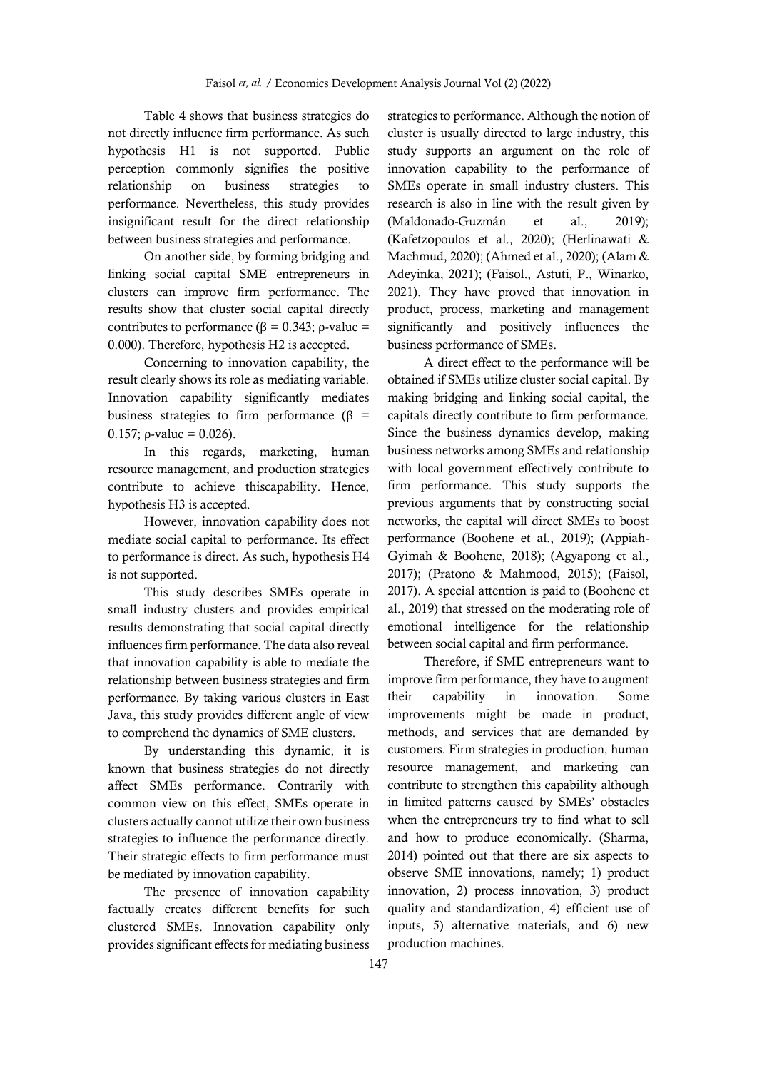Table 4 shows that business strategies do not directly influence firm performance. As such hypothesis H1 is not supported. Public perception commonly signifies the positive relationship on business strategies to performance. Nevertheless, this study provides insignificant result for the direct relationship between business strategies and performance.

On another side, by forming bridging and linking social capital SME entrepreneurs in clusters can improve firm performance. The results show that cluster social capital directly contributes to performance ( $β = 0.343$ ;  $ρ$ -value = 0.000). Therefore, hypothesis H2 is accepted.

Concerning to innovation capability, the result clearly shows its role as mediating variable. Innovation capability significantly mediates business strategies to firm performance ( $\beta$  = 0.157;  $\rho$ -value = 0.026).

In this regards, marketing, human resource management, and production strategies contribute to achieve thiscapability. Hence, hypothesis H3 is accepted.

However, innovation capability does not mediate social capital to performance. Its effect to performance is direct. As such, hypothesis H4 is not supported.

This study describes SMEs operate in small industry clusters and provides empirical results demonstrating that social capital directly influences firm performance. The data also reveal that innovation capability is able to mediate the relationship between business strategies and firm performance. By taking various clusters in East Java, this study provides different angle of view to comprehend the dynamics of SME clusters.

By understanding this dynamic, it is known that business strategies do not directly affect SMEs performance. Contrarily with common view on this effect, SMEs operate in clusters actually cannot utilize their own business strategies to influence the performance directly. Their strategic effects to firm performance must be mediated by innovation capability.

The presence of innovation capability factually creates different benefits for such clustered SMEs. Innovation capability only provides significant effects for mediating business strategies to performance. Although the notion of cluster is usually directed to large industry, this study supports an argument on the role of innovation capability to the performance of SMEs operate in small industry clusters. This research is also in line with the result given by (Maldonado-Guzmán et al., 2019); (Kafetzopoulos et al., 2020); (Herlinawati & Machmud, 2020); (Ahmed et al., 2020); (Alam & Adeyinka, 2021); (Faisol., Astuti, P., Winarko, 2021). They have proved that innovation in product, process, marketing and management significantly and positively influences the business performance of SMEs.

A direct effect to the performance will be obtained if SMEs utilize cluster social capital. By making bridging and linking social capital, the capitals directly contribute to firm performance. Since the business dynamics develop, making business networks among SMEs and relationship with local government effectively contribute to firm performance. This study supports the previous arguments that by constructing social networks, the capital will direct SMEs to boost performance (Boohene et al., 2019); (Appiah-Gyimah & Boohene, 2018); (Agyapong et al., 2017); (Pratono & Mahmood, 2015); (Faisol, 2017). A special attention is paid to (Boohene et al., 2019) that stressed on the moderating role of emotional intelligence for the relationship between social capital and firm performance.

Therefore, if SME entrepreneurs want to improve firm performance, they have to augment their capability in innovation. Some improvements might be made in product, methods, and services that are demanded by customers. Firm strategies in production, human resource management, and marketing can contribute to strengthen this capability although in limited patterns caused by SMEs' obstacles when the entrepreneurs try to find what to sell and how to produce economically. (Sharma, 2014) pointed out that there are six aspects to observe SME innovations, namely; 1) product innovation, 2) process innovation, 3) product quality and standardization, 4) efficient use of inputs, 5) alternative materials, and 6) new production machines.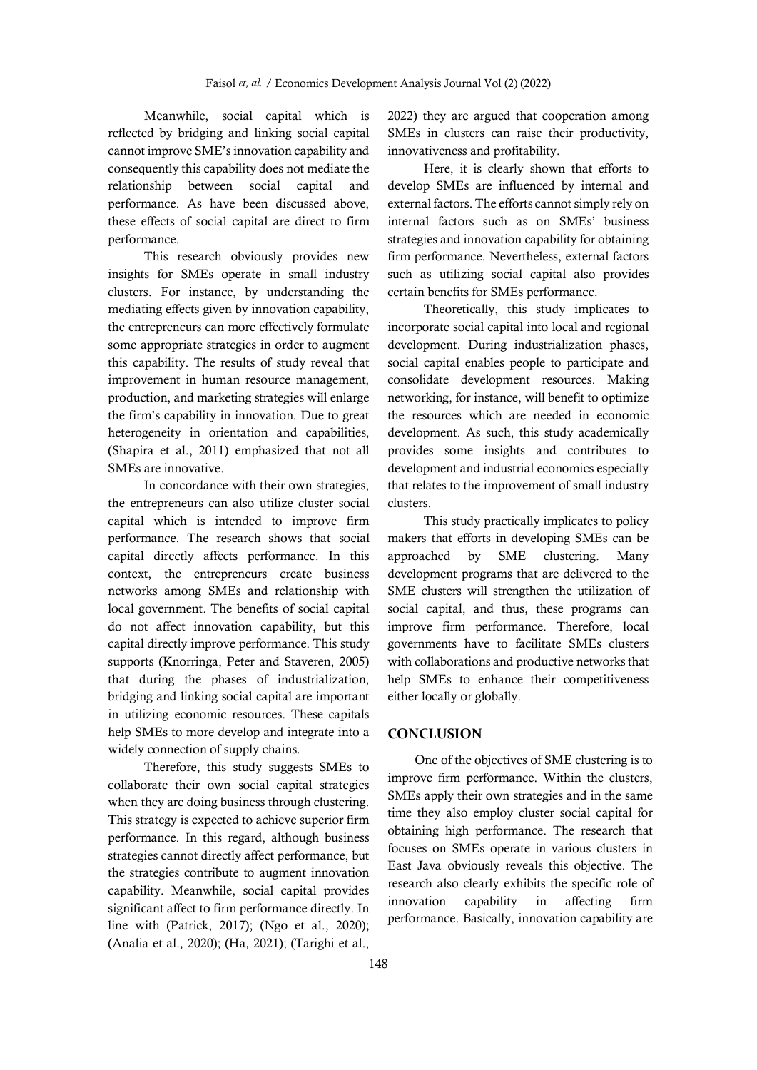Meanwhile, social capital which is reflected by bridging and linking social capital cannot improve SME's innovation capability and consequently this capability does not mediate the relationship between social capital and performance. As have been discussed above, these effects of social capital are direct to firm performance.

This research obviously provides new insights for SMEs operate in small industry clusters. For instance, by understanding the mediating effects given by innovation capability, the entrepreneurs can more effectively formulate some appropriate strategies in order to augment this capability. The results of study reveal that improvement in human resource management, production, and marketing strategies will enlarge the firm's capability in innovation. Due to great heterogeneity in orientation and capabilities, (Shapira et al., 2011) emphasized that not all SMEs are innovative.

In concordance with their own strategies, the entrepreneurs can also utilize cluster social capital which is intended to improve firm performance. The research shows that social capital directly affects performance. In this context, the entrepreneurs create business networks among SMEs and relationship with local government. The benefits of social capital do not affect innovation capability, but this capital directly improve performance. This study supports (Knorringa, Peter and Staveren, 2005) that during the phases of industrialization, bridging and linking social capital are important in utilizing economic resources. These capitals help SMEs to more develop and integrate into a widely connection of supply chains.

Therefore, this study suggests SMEs to collaborate their own social capital strategies when they are doing business through clustering. This strategy is expected to achieve superior firm performance. In this regard, although business strategies cannot directly affect performance, but the strategies contribute to augment innovation capability. Meanwhile, social capital provides significant affect to firm performance directly. In line with (Patrick, 2017); (Ngo et al., 2020); (Analia et al., 2020); (Ha, 2021); (Tarighi et al.,

2022) they are argued that cooperation among SMEs in clusters can raise their productivity, innovativeness and profitability.

Here, it is clearly shown that efforts to develop SMEs are influenced by internal and external factors. The efforts cannot simply rely on internal factors such as on SMEs' business strategies and innovation capability for obtaining firm performance. Nevertheless, external factors such as utilizing social capital also provides certain benefits for SMEs performance.

Theoretically, this study implicates to incorporate social capital into local and regional development. During industrialization phases, social capital enables people to participate and consolidate development resources. Making networking, for instance, will benefit to optimize the resources which are needed in economic development. As such, this study academically provides some insights and contributes to development and industrial economics especially that relates to the improvement of small industry clusters.

This study practically implicates to policy makers that efforts in developing SMEs can be approached by SME clustering. Many development programs that are delivered to the SME clusters will strengthen the utilization of social capital, and thus, these programs can improve firm performance. Therefore, local governments have to facilitate SMEs clusters with collaborations and productive networks that help SMEs to enhance their competitiveness either locally or globally.

#### **CONCLUSION**

One of the objectives of SME clustering is to improve firm performance. Within the clusters, SMEs apply their own strategies and in the same time they also employ cluster social capital for obtaining high performance. The research that focuses on SMEs operate in various clusters in East Java obviously reveals this objective. The research also clearly exhibits the specific role of innovation capability in affecting firm performance. Basically, innovation capability are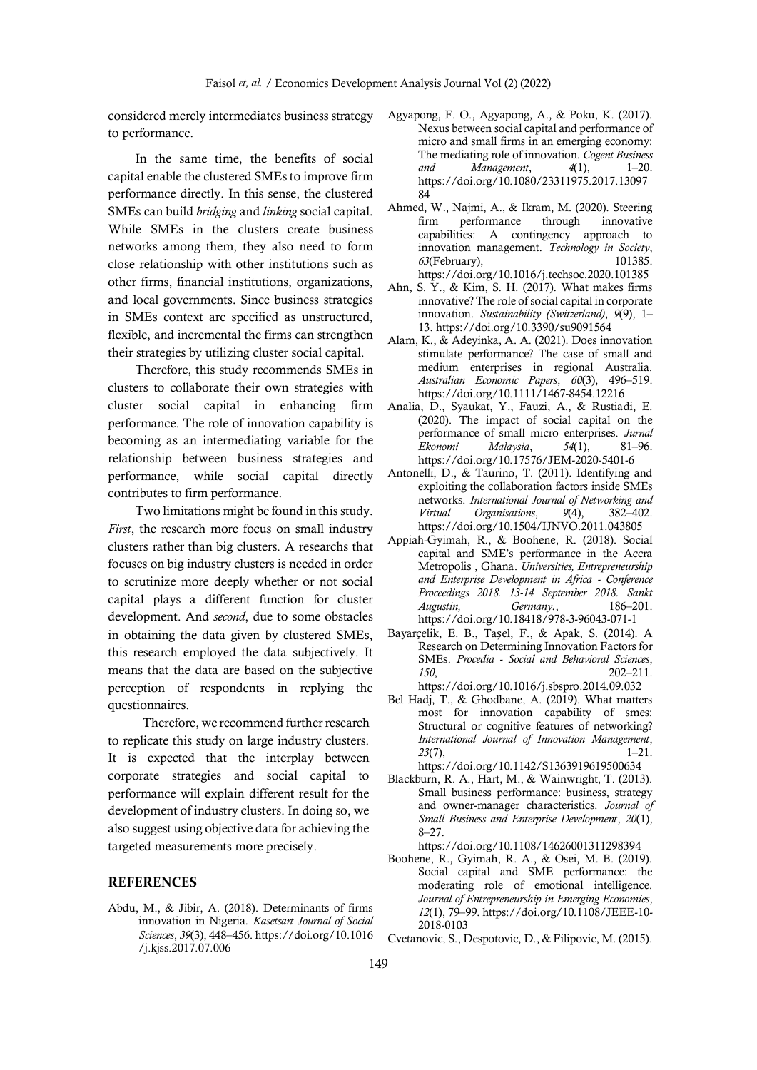considered merely intermediates business strategy to performance.

In the same time, the benefits of social capital enable the clustered SMEsto improve firm performance directly. In this sense, the clustered SMEs can build *bridging* and *linking* social capital. While SMEs in the clusters create business networks among them, they also need to form close relationship with other institutions such as other firms, financial institutions, organizations, and local governments. Since business strategies in SMEs context are specified as unstructured, flexible, and incremental the firms can strengthen their strategies by utilizing cluster social capital.

Therefore, this study recommends SMEs in clusters to collaborate their own strategies with cluster social capital in enhancing firm performance. The role of innovation capability is becoming as an intermediating variable for the relationship between business strategies and performance, while social capital directly contributes to firm performance.

Two limitations might be found in this study. *First*, the research more focus on small industry clusters rather than big clusters. A researchs that focuses on big industry clusters is needed in order to scrutinize more deeply whether or not social capital plays a different function for cluster development. And *second*, due to some obstacles in obtaining the data given by clustered SMEs, this research employed the data subjectively. It means that the data are based on the subjective perception of respondents in replying the questionnaires.

Therefore, we recommend further research to replicate this study on large industry clusters. It is expected that the interplay between corporate strategies and social capital to performance will explain different result for the development of industry clusters. In doing so, we also suggest using objective data for achieving the targeted measurements more precisely.

#### **REFERENCES**

Abdu, M., & Jibir, A. (2018). Determinants of firms innovation in Nigeria. *Kasetsart Journal of Social Sciences*, *39*(3), 448–456. https://doi.org/10.1016 /j.kjss.2017.07.006

- Agyapong, F. O., Agyapong, A., & Poku, K. (2017). Nexus between social capital and performance of micro and small firms in an emerging economy: The mediating role of innovation. *Cogent Business and Management*, *4*(1), 1–20. https://doi.org/10.1080/23311975.2017.13097 84
- Ahmed, W., Najmi, A., & Ikram, M. (2020). Steering firm performance through innovative capabilities: A contingency approach to innovation management. *Technology in Society*, *63*(February), 101385. https://doi.org/10.1016/j.techsoc.2020.101385
- Ahn, S. Y., & Kim, S. H. (2017). What makes firms innovative? The role of social capital in corporate innovation. *Sustainability (Switzerland)*, *9*(9), 1– 13. https://doi.org/10.3390/su9091564
- Alam, K., & Adeyinka, A. A. (2021). Does innovation stimulate performance? The case of small and medium enterprises in regional Australia. *Australian Economic Papers*, *60*(3), 496–519. https://doi.org/10.1111/1467-8454.12216
- Analia, D., Syaukat, Y., Fauzi, A., & Rustiadi, E. (2020). The impact of social capital on the performance of small micro enterprises. *Jurnal Ekonomi Malaysia*, *54*(1), 81–96. https://doi.org/10.17576/JEM-2020-5401-6
- Antonelli, D., & Taurino, T. (2011). Identifying and exploiting the collaboration factors inside SMEs networks. *International Journal of Networking and Virtual Organisations*, *9*(4), 382–402. https://doi.org/10.1504/IJNVO.2011.043805
- Appiah-Gyimah, R., & Boohene, R. (2018). Social capital and SME's performance in the Accra Metropolis , Ghana. *Universities, Entrepreneurship and Enterprise Development in Africa - Conference Proceedings 2018. 13-14 September 2018. Sankt Augustin, Germany.*, 186–201. https://doi.org/10.18418/978-3-96043-071-1
- Bayarçelik, E. B., Taşel, F., & Apak, S. (2014). A Research on Determining Innovation Factors for SMEs. *Procedia - Social and Behavioral Sciences*, *150*, 202–211. https://doi.org/10.1016/j.sbspro.2014.09.032
- Bel Hadj, T., & Ghodbane, A. (2019). What matters most for innovation capability of smes: Structural or cognitive features of networking? *International Journal of Innovation Management*, *23*(7), 1–21. https://doi.org/10.1142/S1363919619500634
- Blackburn, R. A., Hart, M., & Wainwright, T. (2013). Small business performance: business, strategy and owner-manager characteristics. *Journal of Small Business and Enterprise Development*, *20*(1), 8–27.
	- https://doi.org/10.1108/14626001311298394
- Boohene, R., Gyimah, R. A., & Osei, M. B. (2019). Social capital and SME performance: the moderating role of emotional intelligence. *Journal of Entrepreneurship in Emerging Economies*, *12*(1), 79–99. https://doi.org/10.1108/JEEE-10- 2018-0103

Cvetanovic, S., Despotovic, D., & Filipovic, M. (2015).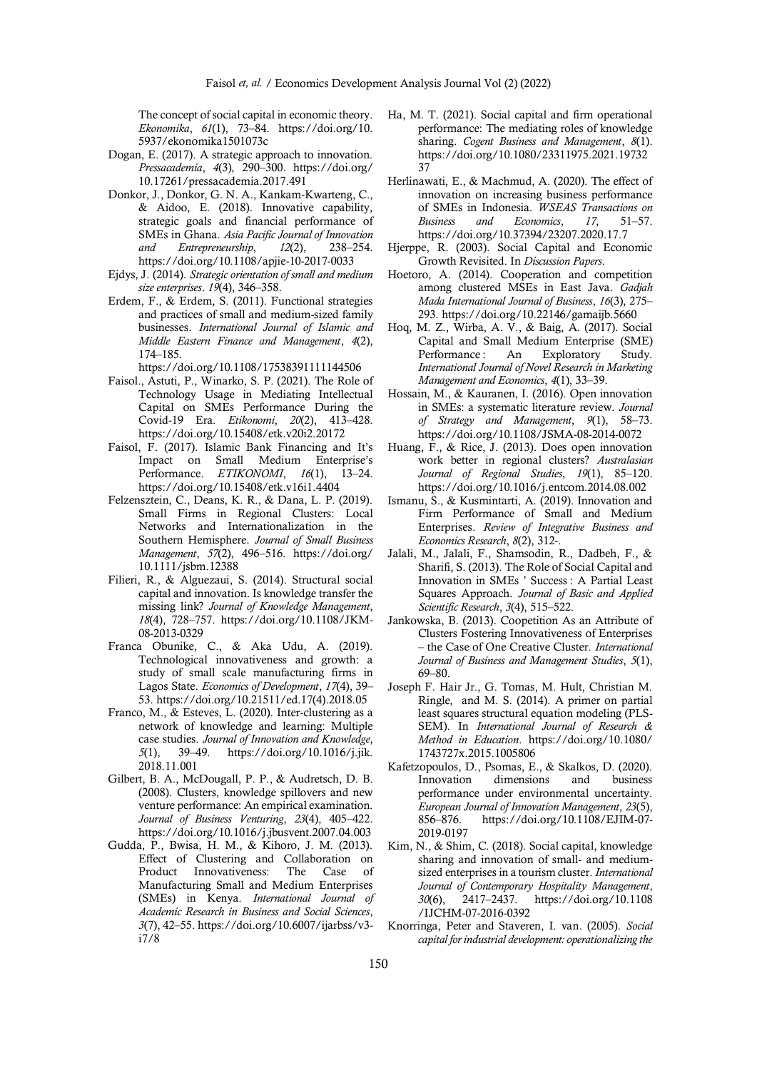The concept of social capital in economic theory. *Ekonomika*, *61*(1), 73–84. https://doi.org/10. 5937/ekonomika1501073c

- Dogan, E. (2017). A strategic approach to innovation. *Pressacademia*, *4*(3), 290–300. https://doi.org/ 10.17261/pressacademia.2017.491
- Donkor, J., Donkor, G. N. A., Kankam-Kwarteng, C., & Aidoo, E. (2018). Innovative capability, strategic goals and financial performance of SMEs in Ghana. *Asia Pacific Journal of Innovation and Entrepreneurship*, *12*(2), 238–254. https://doi.org/10.1108/apjie-10-2017-0033
- Ejdys, J. (2014). *Strategic orientation of small and medium size enterprises*. *19*(4), 346–358.
- Erdem, F., & Erdem, S. (2011). Functional strategies and practices of small and medium-sized family businesses. *International Journal of Islamic and Middle Eastern Finance and Management*, *4*(2), 174–185.

https://doi.org/10.1108/17538391111144506

- Faisol., Astuti, P., Winarko, S. P. (2021). The Role of Technology Usage in Mediating Intellectual Capital on SMEs Performance During the Covid-19 Era. *Etikonomi*, *20*(2), 413–428. https://doi.org/10.15408/etk.v20i2.20172
- Faisol, F. (2017). Islamic Bank Financing and It's Impact on Small Medium Enterprise's Performance. *ETIKONOMI*, *16*(1), 13–24. https://doi.org/10.15408/etk.v16i1.4404
- Felzensztein, C., Deans, K. R., & Dana, L. P. (2019). Small Firms in Regional Clusters: Local Networks and Internationalization in the Southern Hemisphere. *Journal of Small Business Management*, *57*(2), 496–516. https://doi.org/ 10.1111/jsbm.12388
- Filieri, R., & Alguezaui, S. (2014). Structural social capital and innovation. Is knowledge transfer the missing link? *Journal of Knowledge Management*, *18*(4), 728–757. https://doi.org/10.1108/JKM-08-2013-0329
- Franca Obunike, C., & Aka Udu, A. (2019). Technological innovativeness and growth: a study of small scale manufacturing firms in Lagos State. *Economics of Development*, *17*(4), 39– 53. https://doi.org/10.21511/ed.17(4).2018.05
- Franco, M., & Esteves, L. (2020). Inter-clustering as a network of knowledge and learning: Multiple case studies. *Journal of Innovation and Knowledge*, *5*(1), 39–49. https://doi.org/10.1016/j.jik. 2018.11.001
- Gilbert, B. A., McDougall, P. P., & Audretsch, D. B. (2008). Clusters, knowledge spillovers and new venture performance: An empirical examination. *Journal of Business Venturing*, *23*(4), 405–422. https://doi.org/10.1016/j.jbusvent.2007.04.003
- Gudda, P., Bwisa, H. M., & Kihoro, J. M. (2013). Effect of Clustering and Collaboration on Product Innovativeness: The Case of Manufacturing Small and Medium Enterprises (SMEs) in Kenya. *International Journal of Academic Research in Business and Social Sciences*, *3*(7), 42–55. https://doi.org/10.6007/ijarbss/v3 i7/8
- Ha, M. T. (2021). Social capital and firm operational performance: The mediating roles of knowledge sharing. *Cogent Business and Management*, *8*(1). https://doi.org/10.1080/23311975.2021.19732 37
- Herlinawati, E., & Machmud, A. (2020). The effect of innovation on increasing business performance of SMEs in Indonesia. *WSEAS Transactions on Business and Economics*, *17*, 51–57. https://doi.org/10.37394/23207.2020.17.7
- Hjerppe, R. (2003). Social Capital and Economic Growth Revisited. In *Discussion Papers*.
- Hoetoro, A. (2014). Cooperation and competition among clustered MSEs in East Java. *Gadjah Mada International Journal of Business*, *16*(3), 275– 293. https://doi.org/10.22146/gamaijb.5660
- Hoq, M. Z., Wirba, A. V., & Baig, A. (2017). Social Capital and Small Medium Enterprise (SME) Performance: An Exploratory Study. *International Journal of Novel Research in Marketing Management and Economics*, *4*(1), 33–39.
- Hossain, M., & Kauranen, I. (2016). Open innovation in SMEs: a systematic literature review. *Journal of Strategy and Management*, *9*(1), 58–73. https://doi.org/10.1108/JSMA-08-2014-0072
- Huang, F., & Rice, J. (2013). Does open innovation work better in regional clusters? *Australasian Journal of Regional Studies*, *19*(1), 85–120. https://doi.org/10.1016/j.entcom.2014.08.002
- Ismanu, S., & Kusmintarti, A. (2019). Innovation and Firm Performance of Small and Medium Enterprises. *Review of Integrative Business and Economics Research*, *8*(2), 312-.
- Jalali, M., Jalali, F., Shamsodin, R., Dadbeh, F., & Sharifi, S. (2013). The Role of Social Capital and Innovation in SMEs ' Success : A Partial Least Squares Approach. *Journal of Basic and Applied Scientific Research*, *3*(4), 515–522.
- Jankowska, B. (2013). Coopetition As an Attribute of Clusters Fostering Innovativeness of Enterprises – the Case of One Creative Cluster. *International Journal of Business and Management Studies*, *5*(1), 69–80.
- Joseph F. Hair Jr., G. Tomas, M. Hult, Christian M. Ringle, and M. S. (2014). A primer on partial least squares structural equation modeling (PLS-SEM). In *International Journal of Research & Method in Education*. https://doi.org/10.1080/ 1743727x.2015.1005806
- Kafetzopoulos, D., Psomas, E., & Skalkos, D. (2020). Innovation dimensions and business performance under environmental uncertainty. *European Journal of Innovation Management*, *23*(5), 856–876. https://doi.org/10.1108/EJIM-07- 2019-0197
- Kim, N., & Shim, C. (2018). Social capital, knowledge sharing and innovation of small- and mediumsized enterprises in a tourism cluster. *International Journal of Contemporary Hospitality Management*, *30*(6), 2417–2437. https://doi.org/10.1108 /IJCHM-07-2016-0392
- Knorringa, Peter and Staveren, I. van. (2005). *Social capital for industrial development: operationalizing the*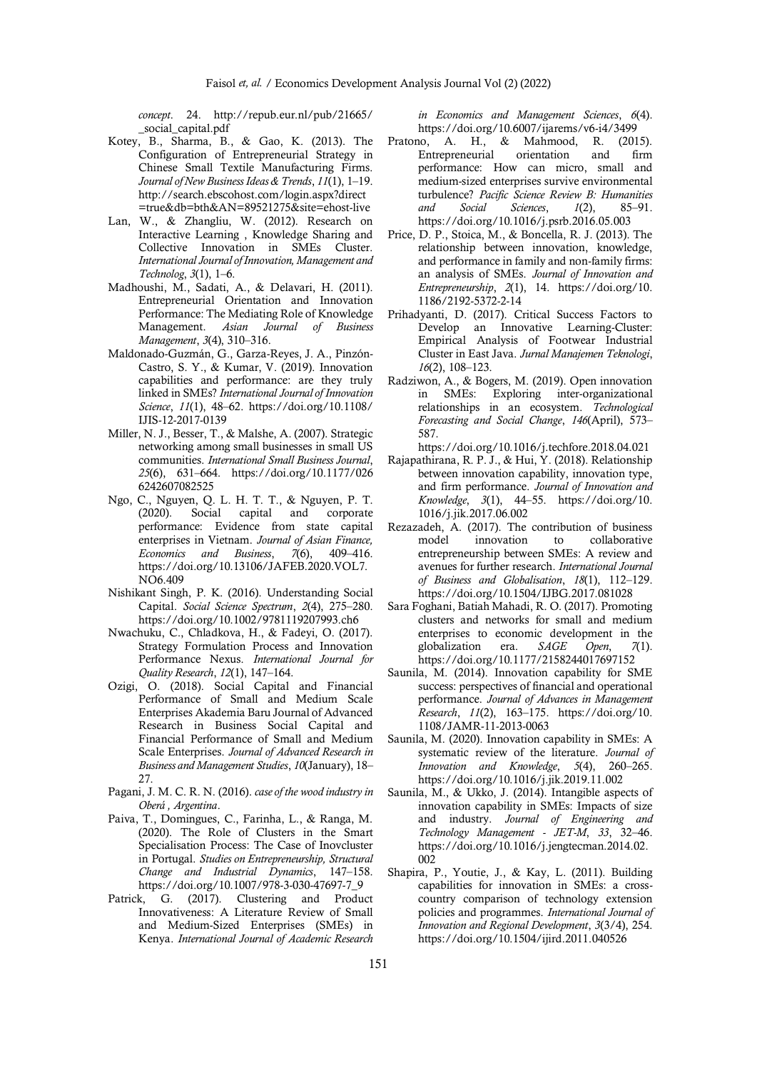*concept*. 24. http://repub.eur.nl/pub/21665/ \_social\_capital.pdf

- Kotey, B., Sharma, B., & Gao, K. (2013). The Configuration of Entrepreneurial Strategy in Chinese Small Textile Manufacturing Firms. *Journal of New Business Ideas & Trends*, *11*(1), 1–19. http://search.ebscohost.com/login.aspx?direct =true&db=bth&AN=89521275&site=ehost-live
- Lan, W., & Zhangliu, W. (2012). Research on Interactive Learning , Knowledge Sharing and Collective Innovation in SMEs Cluster. *International Journal of Innovation, Management and Technolog*, *3*(1), 1–6.
- Madhoushi, M., Sadati, A., & Delavari, H. (2011). Entrepreneurial Orientation and Innovation Performance: The Mediating Role of Knowledge Management. *Asian Journal of Business Management*, *3*(4), 310–316.
- Maldonado-Guzmán, G., Garza-Reyes, J. A., Pinzón-Castro, S. Y., & Kumar, V. (2019). Innovation capabilities and performance: are they truly linked in SMEs? *International Journal of Innovation Science*, *11*(1), 48–62. https://doi.org/10.1108/ IJIS-12-2017-0139
- Miller, N. J., Besser, T., & Malshe, A. (2007). Strategic networking among small businesses in small US communities. *International Small Business Journal*, *25*(6), 631–664. https://doi.org/10.1177/026 6242607082525
- Ngo, C., Nguyen, Q. L. H. T. T., & Nguyen, P. T. (2020). Social capital and corporate performance: Evidence from state capital enterprises in Vietnam. *Journal of Asian Finance, Economics and Business*, *7*(6), 409–416. https://doi.org/10.13106/JAFEB.2020.VOL7. NO6.409
- Nishikant Singh, P. K. (2016). Understanding Social Capital. *Social Science Spectrum*, *2*(4), 275–280. https://doi.org/10.1002/9781119207993.ch6
- Nwachuku, C., Chladkova, H., & Fadeyi, O. (2017). Strategy Formulation Process and Innovation Performance Nexus. *International Journal for Quality Research*, *12*(1), 147–164.
- Ozigi, O. (2018). Social Capital and Financial Performance of Small and Medium Scale Enterprises Akademia Baru Journal of Advanced Research in Business Social Capital and Financial Performance of Small and Medium Scale Enterprises. *Journal of Advanced Research in Business and Management Studies*, *10*(January), 18– 27.
- Pagani, J. M. C. R. N. (2016). *case of the wood industry in Oberá , Argentina*.
- Paiva, T., Domingues, C., Farinha, L., & Ranga, M. (2020). The Role of Clusters in the Smart Specialisation Process: The Case of Inovcluster in Portugal. *Studies on Entrepreneurship, Structural Change and Industrial Dynamics*, 147–158. https://doi.org/10.1007/978-3-030-47697-7\_9
- Patrick, G. (2017). Clustering and Product Innovativeness: A Literature Review of Small and Medium-Sized Enterprises (SMEs) in Kenya. *International Journal of Academic Research*

*in Economics and Management Sciences*, *6*(4). https://doi.org/10.6007/ijarems/v6-i4/3499

- Pratono, A. H., & Mahmood, R. (2015). Entrepreneurial orientation and firm performance: How can micro, small and medium-sized enterprises survive environmental turbulence? *Pacific Science Review B: Humanities and Social Sciences*, *1*(2), 85–91. https://doi.org/10.1016/j.psrb.2016.05.003
- Price, D. P., Stoica, M., & Boncella, R. J. (2013). The relationship between innovation, knowledge, and performance in family and non-family firms: an analysis of SMEs. *Journal of Innovation and Entrepreneurship*, *2*(1), 14. https://doi.org/10. 1186/2192-5372-2-14
- Prihadyanti, D. (2017). Critical Success Factors to Develop an Innovative Learning-Cluster: Empirical Analysis of Footwear Industrial Cluster in East Java. *Jurnal Manajemen Teknologi*, *16*(2), 108–123.
- Radziwon, A., & Bogers, M. (2019). Open innovation in SMEs: Exploring inter-organizational relationships in an ecosystem. *Technological Forecasting and Social Change*, *146*(April), 573– 587.
- https://doi.org/10.1016/j.techfore.2018.04.021
- Rajapathirana, R. P. J., & Hui, Y. (2018). Relationship between innovation capability, innovation type, and firm performance. *Journal of Innovation and Knowledge*, *3*(1), 44–55. https://doi.org/10. 1016/j.jik.2017.06.002
- Rezazadeh, A. (2017). The contribution of business model innovation to collaborative entrepreneurship between SMEs: A review and avenues for further research. *International Journal of Business and Globalisation*, *18*(1), 112–129. https://doi.org/10.1504/IJBG.2017.081028
- Sara Foghani, Batiah Mahadi, R. O. (2017). Promoting clusters and networks for small and medium enterprises to economic development in the globalization era. *SAGE Open*, *7*(1). https://doi.org/10.1177/2158244017697152
- Saunila, M. (2014). Innovation capability for SME success: perspectives of financial and operational performance. *Journal of Advances in Management Research*, *11*(2), 163–175. https://doi.org/10. 1108/JAMR-11-2013-0063
- Saunila, M. (2020). Innovation capability in SMEs: A systematic review of the literature. *Journal of Innovation and Knowledge*, *5*(4), 260–265. https://doi.org/10.1016/j.jik.2019.11.002
- Saunila, M., & Ukko, J. (2014). Intangible aspects of innovation capability in SMEs: Impacts of size and industry. *Journal of Engineering and Technology Management - JET-M*, *33*, 32–46. https://doi.org/10.1016/j.jengtecman.2014.02. 002
- Shapira, P., Youtie, J., & Kay, L. (2011). Building capabilities for innovation in SMEs: a crosscountry comparison of technology extension policies and programmes. *International Journal of Innovation and Regional Development*, *3*(3/4), 254. https://doi.org/10.1504/ijird.2011.040526